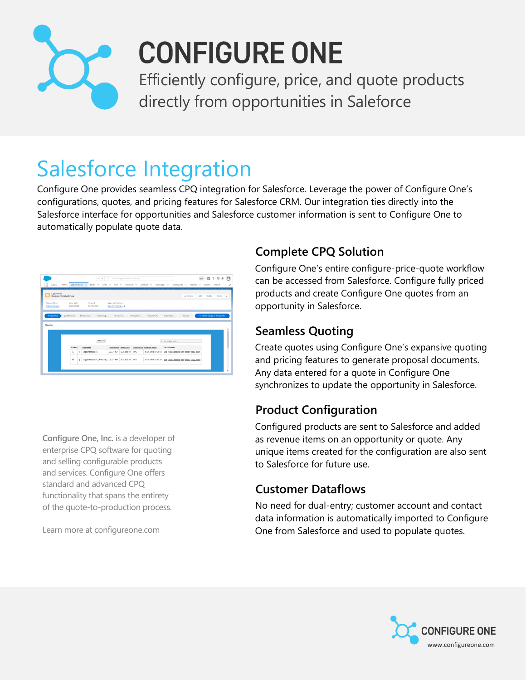

# **CONFIGURE ONE**

Efficiently configure, price, and quote products directly from opportunities in Saleforce

## Salesforce Integration

Configure One provides seamless CPQ integration for Salesforce. Leverage the power of Configure One's configurations, quotes, and pricing features for Salesforce CRM. Our integration ties directly into the Salesforce interface for opportunities and Salesforce customer information is sent to Configure One to automatically populate quote data.

|                                         |                 |   | $AI =$                                           |                           | Q. Search Opportunities and more |            |                                   |                          |                                             | 图 四 ? 卒 单 图             |                        |
|-----------------------------------------|-----------------|---|--------------------------------------------------|---------------------------|----------------------------------|------------|-----------------------------------|--------------------------|---------------------------------------------|-------------------------|------------------------|
| Sales<br>Home                           | Opportunities v |   | Leads v<br>Tasks v                               | $F$ <b>His</b> $\sim$     | Accounts v                       |            | Contacts v                        | Campaigns v              | Dashboards ~<br><b>Reports</b>              | Chatter<br>$\checkmark$ | <b>More</b>            |
|                                         |                 |   |                                                  |                           |                                  |            |                                   |                          |                                             |                         |                        |
| Opportunity<br><b>Copper Industries</b> |                 |   |                                                  |                           |                                  |            |                                   |                          | $+$ Fellow                                  | Edit<br>Delete          | Clone w                |
| <b>Account Name</b>                     | Close Date      |   | Amount                                           | Opportunity Owner         |                                  |            |                                   |                          |                                             |                         |                        |
| XYZ Enterprizes                         | 6/29/2018       |   | 527,832.39                                       | Salesforce Demo L         |                                  |            |                                   |                          |                                             |                         |                        |
|                                         |                 |   |                                                  |                           |                                  |            |                                   |                          |                                             |                         |                        |
| <b>Prospecting</b>                      | Qualification   |   | Needs Ana<br>Value Prop                          | Id. Decisio               |                                  | Perception | Proposal/P                        | Negotiatio               | Closed                                      |                         | Mark Stage as Complete |
|                                         |                 |   |                                                  |                           |                                  |            |                                   |                          |                                             |                         |                        |
| Quotes                                  |                 |   |                                                  |                           |                                  |            |                                   |                          |                                             |                         |                        |
|                                         |                 |   |                                                  |                           |                                  |            |                                   |                          |                                             |                         |                        |
|                                         |                 |   |                                                  |                           |                                  |            |                                   |                          |                                             |                         |                        |
|                                         |                 |   |                                                  |                           |                                  |            |                                   |                          |                                             |                         |                        |
|                                         |                 |   | Add Quote                                        |                           |                                  |            |                                   | Q. find existing curetes |                                             |                         |                        |
|                                         |                 |   |                                                  |                           |                                  |            |                                   |                          |                                             |                         |                        |
|                                         | Primary         |   | <b>Quote Name</b>                                | Quote Number Quoted Price |                                  |            | Probability (N) Baltd Date & Time | Quote Options            |                                             |                         |                        |
|                                         | $\circ$         | ÷ | Copper Industries                                | AC-21957                  | \$20,484.98                      | 76%        | 30.05.2018 07:23:14               |                          | edit results remove view history copy, move |                         |                        |
|                                         | ۰               |   | $\pm$   Copper Industries (Alternate)   AC-21999 |                           | \$27,832.39 60%                  |            | 15.05.2018 12:23:45               |                          | edit results remove view history copy, move |                         |                        |

**Configure One, Inc.** is a developer of enterprise CPQ software for quoting and selling configurable products and services. Configure One offers standard and advanced CPQ functionality that spans the entirety of the quote-to-production process.

Learn more at configureone.com

#### **Complete CPQ Solution**

Configure One's entire configure-price-quote workflow can be accessed from Salesforce. Configure fully priced products and create Configure One quotes from an opportunity in Salesforce.

#### **Seamless Quoting**

Create quotes using Configure One's expansive quoting and pricing features to generate proposal documents. Any data entered for a quote in Configure One synchronizes to update the opportunity in Salesforce.

#### **Product Configuration**

Configured products are sent to Salesforce and added as revenue items on an opportunity or quote. Any unique items created for the configuration are also sent to Salesforce for future use.

#### **Customer Dataflows**

No need for dual-entry; customer account and contact data information is automatically imported to Configure One from Salesforce and used to populate quotes.